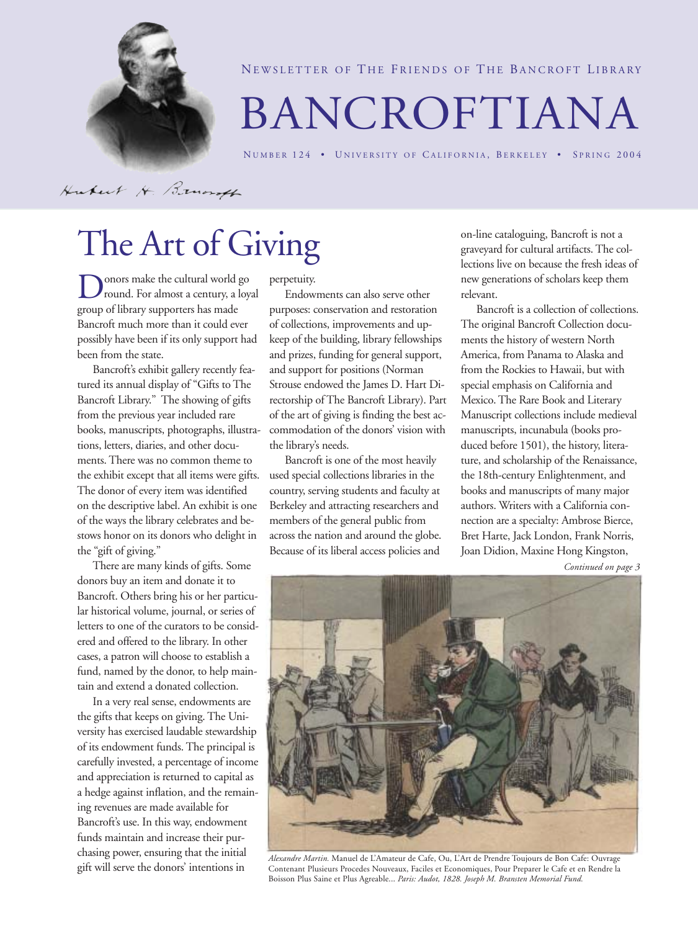

NEWSLETTER OF THE FRIENDS OF THE BANCROFT LIBRARY

# BANCROFTIANA

NUMBER 124 • UNIVERSITY OF CALIFORNIA, BERKELEY • SPRING 2004

Hubert H. Brunsf

# The Art of Giving

onors make the cultural world go round. For almost a century, a loyal group of library supporters has made Bancroft much more than it could ever possibly have been if its only support had been from the state.

Bancroft's exhibit gallery recently featured its annual display of "Gifts to The Bancroft Library." The showing of gifts from the previous year included rare books, manuscripts, photographs, illustrations, letters, diaries, and other documents. There was no common theme to the exhibit except that all items were gifts. The donor of every item was identified on the descriptive label. An exhibit is one of the ways the library celebrates and bestows honor on its donors who delight in the "gift of giving."

There are many kinds of gifts. Some donors buy an item and donate it to Bancroft. Others bring his or her particular historical volume, journal, or series of letters to one of the curators to be considered and offered to the library. In other cases, a patron will choose to establish a fund, named by the donor, to help maintain and extend a donated collection.

In a very real sense, endowments are the gifts that keeps on giving. The University has exercised laudable stewardship of its endowment funds. The principal is carefully invested, a percentage of income and appreciation is returned to capital as a hedge against inflation, and the remaining revenues are made available for Bancroft's use. In this way, endowment funds maintain and increase their purchasing power, ensuring that the initial gift will serve the donors' intentions in

perpetuity.

Endowments can also serve other purposes: conservation and restoration of collections, improvements and upkeep of the building, library fellowships and prizes, funding for general support, and support for positions (Norman Strouse endowed the James D. Hart Directorship of The Bancroft Library). Part of the art of giving is finding the best accommodation of the donors' vision with the library's needs.

Bancroft is one of the most heavily used special collections libraries in the country, serving students and faculty at Berkeley and attracting researchers and members of the general public from across the nation and around the globe. Because of its liberal access policies and

on-line cataloguing, Bancroft is not a graveyard for cultural artifacts. The collections live on because the fresh ideas of new generations of scholars keep them relevant.

Bancroft is a collection of collections. The original Bancroft Collection documents the history of western North America, from Panama to Alaska and from the Rockies to Hawaii, but with special emphasis on California and Mexico. The Rare Book and Literary Manuscript collections include medieval manuscripts, incunabula (books produced before 1501), the history, literature, and scholarship of the Renaissance, the 18th-century Enlightenment, and books and manuscripts of many major authors. Writers with a California connection are a specialty: Ambrose Bierce, Bret Harte, Jack London, Frank Norris, Joan Didion, Maxine Hong Kingston,

*Continued on page 3*



*Alexandre Martin.* Manuel de L'Amateur de Cafe, Ou, L'Art de Prendre Toujours de Bon Cafe: Ouvrage Contenant Plusieurs Procedes Nouveaux, Faciles et Economiques, Pour Preparer le Cafe et en Rendre la Boisson Plus Saine et Plus Agreable... *Paris: Audot, 1828. Joseph M. Bransten Memorial Fund.*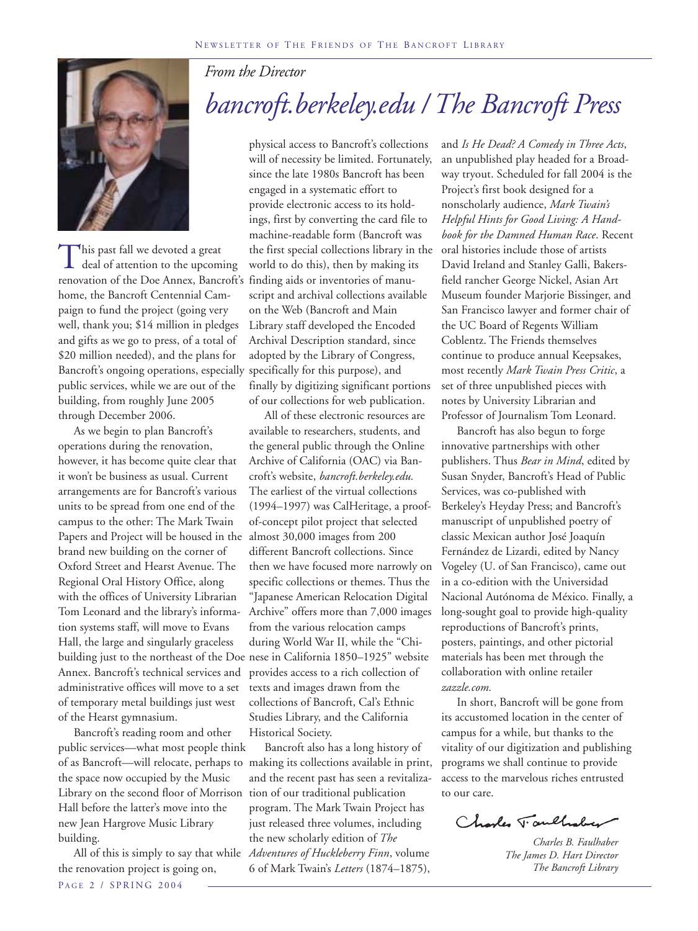*From the Director*



This past fall we devoted a great<br>deal of attention to the upcoming renovation of the Doe Annex, Bancroft's finding aids or inventories of manuhome, the Bancroft Centennial Campaign to fund the project (going very well, thank you; \$14 million in pledges and gifts as we go to press, of a total of \$20 million needed), and the plans for Bancroft's ongoing operations, especially specifically for this purpose), and public services, while we are out of the building, from roughly June 2005 through December 2006.

As we begin to plan Bancroft's operations during the renovation, however, it has become quite clear that it won't be business as usual. Current arrangements are for Bancroft's various units to be spread from one end of the campus to the other: The Mark Twain Papers and Project will be housed in the brand new building on the corner of Oxford Street and Hearst Avenue. The Regional Oral History Office, along with the offices of University Librarian Tom Leonard and the library's information systems staff, will move to Evans Hall, the large and singularly graceless building just to the northeast of the Doe nese in California 1850–1925" website Annex. Bancroft's technical services and administrative offices will move to a set of temporary metal buildings just west of the Hearst gymnasium.

Bancroft's reading room and other public services—what most people think the space now occupied by the Music Library on the second floor of Morrison Hall before the latter's move into the new Jean Hargrove Music Library building.

P AGE 2 / SPRING 2004 the renovation project is going on,

# *bancroft.berkeley.edu / The Bancroft Press*

physical access to Bancroft's collections will of necessity be limited. Fortunately, since the late 1980s Bancroft has been engaged in a systematic effort to provide electronic access to its holdings, first by converting the card file to machine-readable form (Bancroft was the first special collections library in the oral histories include those of artists world to do this), then by making its script and archival collections available on the Web (Bancroft and Main Library staff developed the Encoded Archival Description standard, since adopted by the Library of Congress, finally by digitizing significant portions of our collections for web publication.

All of these electronic resources are available to researchers, students, and the general public through the Online Archive of California (OAC) via Bancroft's website, *bancroft.berkeley.edu.* The earliest of the virtual collections (1994–1997) was CalHeritage, a proofof-concept pilot project that selected almost 30,000 images from 200 different Bancroft collections. Since then we have focused more narrowly on specific collections or themes. Thus the "Japanese American Relocation Digital Archive" offers more than 7,000 images from the various relocation camps during World War II, while the "Chiprovides access to a rich collection of texts and images drawn from the collections of Bancroft, Cal's Ethnic Studies Library, and the California Historical Society.

of as Bancroft—will relocate, perhaps to making its collections available in print, All of this is simply to say that while *Adventures of Huckleberry Finn*, volume Bancroft also has a long history of and the recent past has seen a revitalization of our traditional publication program. The Mark Twain Project has just released three volumes, including the new scholarly edition of *The* 6 of Mark Twain's *Letters* (1874–1875),

and *Is He Dead? A Comedy in Three Acts*, an unpublished play headed for a Broadway tryout. Scheduled for fall 2004 is the Project's first book designed for a nonscholarly audience, *Mark Twain's Helpful Hints for Good Living: A Handbook for the Damned Human Race*. Recent David Ireland and Stanley Galli, Bakersfield rancher George Nickel, Asian Art Museum founder Marjorie Bissinger, and San Francisco lawyer and former chair of the UC Board of Regents William Coblentz. The Friends themselves continue to produce annual Keepsakes, most recently *Mark Twain Press Critic*, a set of three unpublished pieces with notes by University Librarian and Professor of Journalism Tom Leonard.

Bancroft has also begun to forge innovative partnerships with other publishers. Thus *Bear in Mind*, edited by Susan Snyder, Bancroft's Head of Public Services, was co-published with Berkeley's Heyday Press; and Bancroft's manuscript of unpublished poetry of classic Mexican author José Joaquín Fernández de Lizardi, edited by Nancy Vogeley (U. of San Francisco), came out in a co-edition with the Universidad Nacional Autónoma de México. Finally, a long-sought goal to provide high-quality reproductions of Bancroft's prints, posters, paintings, and other pictorial materials has been met through the collaboration with online retailer *zazzle.com.*

In short, Bancroft will be gone from its accustomed location in the center of campus for a while, but thanks to the vitality of our digitization and publishing programs we shall continue to provide access to the marvelous riches entrusted to our care.

Charles Taulhaber

*Charles B. Faulhaber The James D. Hart Director The Bancroft Library*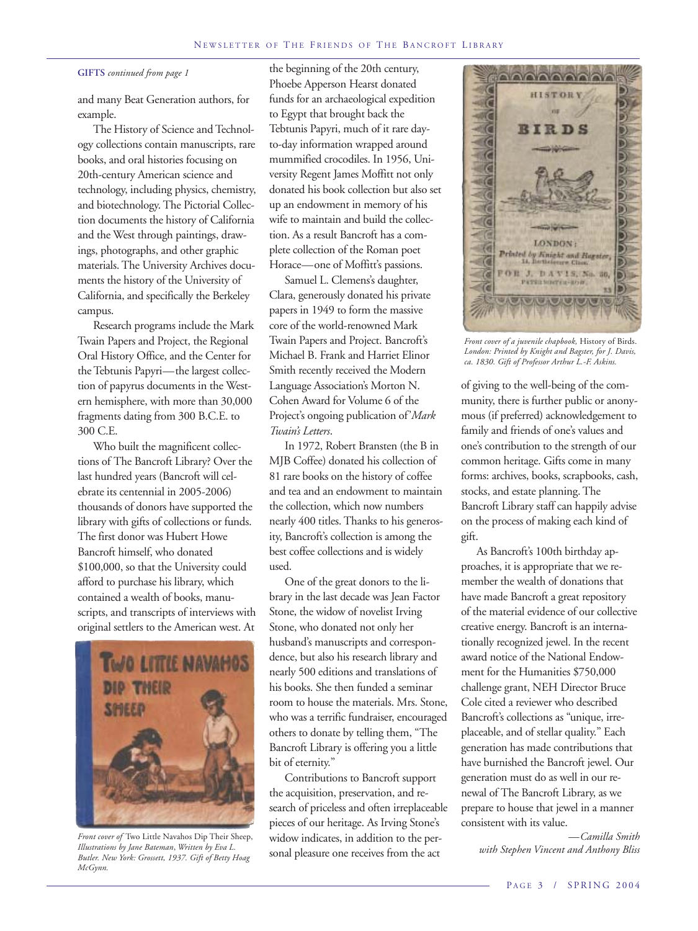#### **GIFTS** *continued from page 1*

and many Beat Generation authors, for example.

The History of Science and Technology collections contain manuscripts, rare books, and oral histories focusing on 20th-century American science and technology, including physics, chemistry, and biotechnology. The Pictorial Collection documents the history of California and the West through paintings, drawings, photographs, and other graphic materials. The University Archives documents the history of the University of California, and specifically the Berkeley campus.

Research programs include the Mark Twain Papers and Project, the Regional Oral History Office, and the Center for the Tebtunis Papyri—the largest collection of papyrus documents in the Western hemisphere, with more than 30,000 fragments dating from 300 B.C.E. to 300 C.E.

Who built the magnificent collections of The Bancroft Library? Over the last hundred years (Bancroft will celebrate its centennial in 2005-2006) thousands of donors have supported the library with gifts of collections or funds. The first donor was Hubert Howe Bancroft himself, who donated \$100,000, so that the University could afford to purchase his library, which contained a wealth of books, manuscripts, and transcripts of interviews with original settlers to the American west. At



*Front cover of* Two Little Navahos Dip Their Sheep, *Illustrations by Jane Bateman*, *Written by Eva L. Butler. New York: Grossett, 1937. Gift of Betty Hoag McGynn.*

the beginning of the 20th century, Phoebe Apperson Hearst donated funds for an archaeological expedition to Egypt that brought back the Tebtunis Papyri, much of it rare dayto-day information wrapped around mummified crocodiles. In 1956, University Regent James Moffitt not only donated his book collection but also set up an endowment in memory of his wife to maintain and build the collection. As a result Bancroft has a complete collection of the Roman poet Horace—one of Moffitt's passions.

Samuel L. Clemens's daughter, Clara, generously donated his private papers in 1949 to form the massive core of the world-renowned Mark Twain Papers and Project. Bancroft's Michael B. Frank and Harriet Elinor Smith recently received the Modern Language Association's Morton N. Cohen Award for Volume 6 of the Project's ongoing publication of'*Mark Twain's Letters*.

In 1972, Robert Bransten (the B in MJB Coffee) donated his collection of 81 rare books on the history of coffee and tea and an endowment to maintain the collection, which now numbers nearly 400 titles. Thanks to his generosity, Bancroft's collection is among the best coffee collections and is widely used.

One of the great donors to the library in the last decade was Jean Factor Stone, the widow of novelist Irving Stone, who donated not only her husband's manuscripts and correspondence, but also his research library and nearly 500 editions and translations of his books. She then funded a seminar room to house the materials. Mrs. Stone, who was a terrific fundraiser, encouraged others to donate by telling them, "The Bancroft Library is offering you a little bit of eternity."

Contributions to Bancroft support the acquisition, preservation, and research of priceless and often irreplaceable pieces of our heritage. As Irving Stone's widow indicates, in addition to the personal pleasure one receives from the act



*Front cover of a juvenile chapbook,* History of Birds. *London: Printed by Knight and Bagster, for J. Davis, ca. 1830. Gift of Professor Arthur L.-F. Askins.*

of giving to the well-being of the community, there is further public or anonymous (if preferred) acknowledgement to family and friends of one's values and one's contribution to the strength of our common heritage. Gifts come in many forms: archives, books, scrapbooks, cash, stocks, and estate planning. The Bancroft Library staff can happily advise on the process of making each kind of gift.

As Bancroft's 100th birthday approaches, it is appropriate that we remember the wealth of donations that have made Bancroft a great repository of the material evidence of our collective creative energy. Bancroft is an internationally recognized jewel. In the recent award notice of the National Endowment for the Humanities \$750,000 challenge grant, NEH Director Bruce Cole cited a reviewer who described Bancroft's collections as "unique, irreplaceable, and of stellar quality." Each generation has made contributions that have burnished the Bancroft jewel. Our generation must do as well in our renewal of The Bancroft Library, as we prepare to house that jewel in a manner consistent with its value.

> *—Camilla Smith with Stephen Vincent and Anthony Bliss*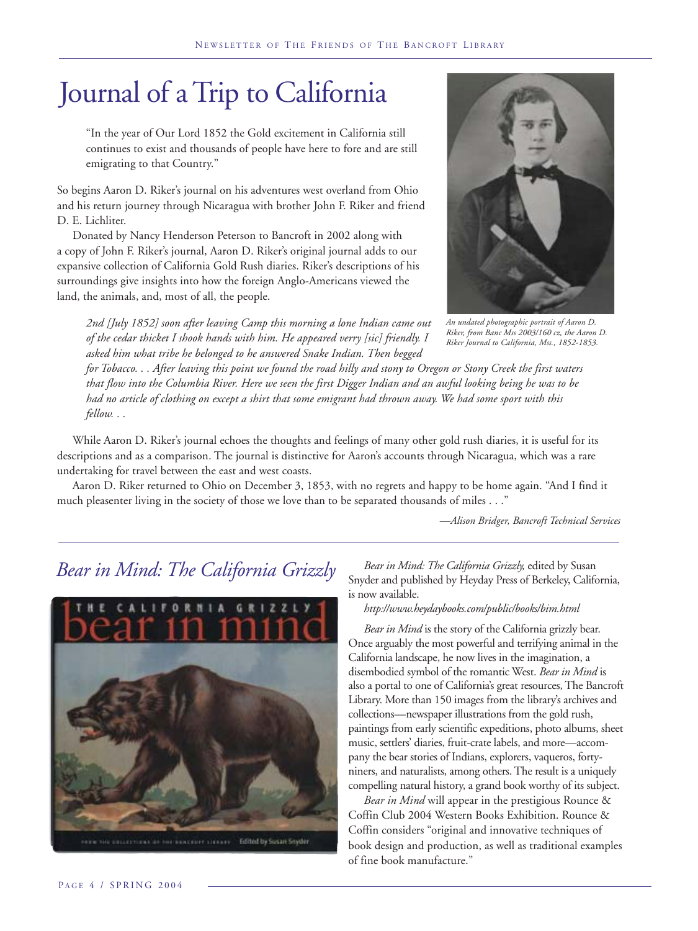# Journal of a Trip to California

"In the year of Our Lord 1852 the Gold excitement in California still continues to exist and thousands of people have here to fore and are still emigrating to that Country."

So begins Aaron D. Riker's journal on his adventures west overland from Ohio and his return journey through Nicaragua with brother John F. Riker and friend D. E. Lichliter.

Donated by Nancy Henderson Peterson to Bancroft in 2002 along with a copy of John F. Riker's journal, Aaron D. Riker's original journal adds to our expansive collection of California Gold Rush diaries. Riker's descriptions of his surroundings give insights into how the foreign Anglo-Americans viewed the land, the animals, and, most of all, the people.

*2nd [July 1852] soon after leaving Camp this morning a lone Indian came out of the cedar thicket I shook hands with him. He appeared verry [sic] friendly. I asked him what tribe he belonged to he answered Snake Indian. Then begged*

*for Tobacco. . . After leaving this point we found the road hilly and stony to Oregon or Stony Creek the first waters that flow into the Columbia River. Here we seen the first Digger Indian and an awful looking being he was to be had no article of clothing on except a shirt that some emigrant had thrown away. We had some sport with this fellow. . .*

While Aaron D. Riker's journal echoes the thoughts and feelings of many other gold rush diaries, it is useful for its descriptions and as a comparison. The journal is distinctive for Aaron's accounts through Nicaragua, which was a rare undertaking for travel between the east and west coasts.

Aaron D. Riker returned to Ohio on December 3, 1853, with no regrets and happy to be home again. "And I find it much pleasenter living in the society of those we love than to be separated thousands of miles . . ."

*—Alison Bridger, Bancroft Technical Services*

*An undated photographic portrait of Aaron D. Riker, from Banc Mss 2003/160 cz, the Aaron D. Riker Journal to California, Mss., 1852-1853.*

### *Bear in Mind: The California Grizzly*



*Bear in Mind: The California Grizzly,* edited by Susan Snyder and published by Heyday Press of Berkeley, California, is now available.

*http://www.heydaybooks.com/public/books/bim.html*

*Bear in Mind* is the story of the California grizzly bear. Once arguably the most powerful and terrifying animal in the California landscape, he now lives in the imagination, a disembodied symbol of the romantic West. *Bear in Mind* is also a portal to one of California's great resources, The Bancroft Library. More than 150 images from the library's archives and collections—newspaper illustrations from the gold rush, paintings from early scientific expeditions, photo albums, sheet music, settlers' diaries, fruit-crate labels, and more—accompany the bear stories of Indians, explorers, vaqueros, fortyniners, and naturalists, among others. The result is a uniquely compelling natural history, a grand book worthy of its subject.

*Bear in Mind* will appear in the prestigious Rounce & Coffin Club 2004 Western Books Exhibition. Rounce & Coffin considers "original and innovative techniques of book design and production, as well as traditional examples of fine book manufacture."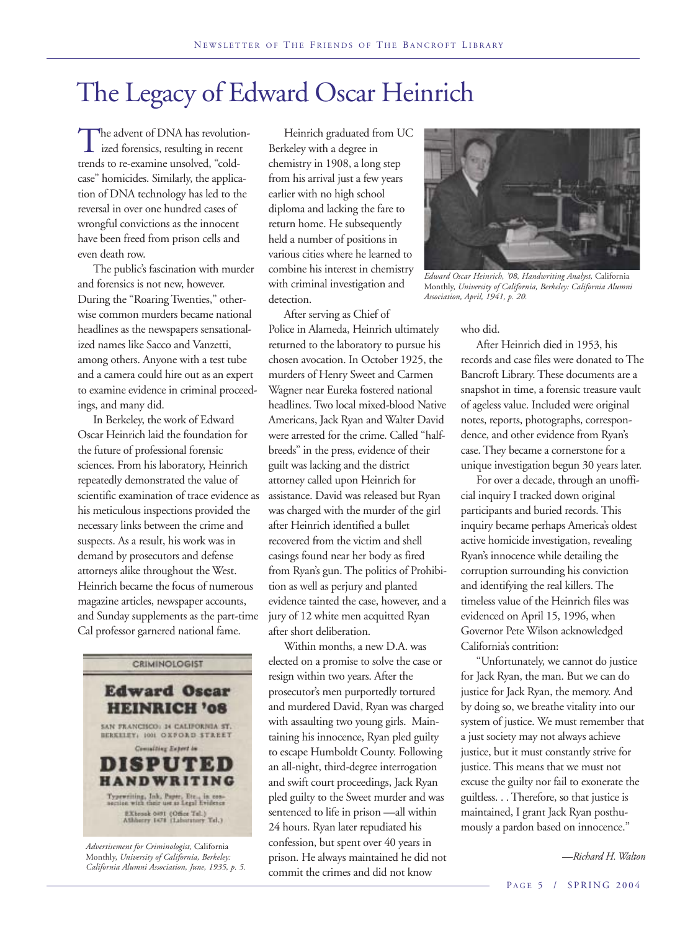## The Legacy of Edward Oscar Heinrich

The advent of DNA has revolution-<br>ized forensics, resulting in recent trends to re-examine unsolved, "coldcase" homicides. Similarly, the application of DNA technology has led to the reversal in over one hundred cases of wrongful convictions as the innocent have been freed from prison cells and even death row.

The public's fascination with murder and forensics is not new, however. During the "Roaring Twenties," otherwise common murders became national headlines as the newspapers sensationalized names like Sacco and Vanzetti, among others. Anyone with a test tube and a camera could hire out as an expert to examine evidence in criminal proceedings, and many did.

In Berkeley, the work of Edward Oscar Heinrich laid the foundation for the future of professional forensic sciences. From his laboratory, Heinrich repeatedly demonstrated the value of scientific examination of trace evidence as his meticulous inspections provided the necessary links between the crime and suspects. As a result, his work was in demand by prosecutors and defense attorneys alike throughout the West. Heinrich became the focus of numerous magazine articles, newspaper accounts, and Sunday supplements as the part-time Cal professor garnered national fame.



*Advertisement for Criminologist,* California Monthly, *University of California, Berkeley: California Alumni Association, June, 1935, p. 5.*

Heinrich graduated from UC Berkeley with a degree in chemistry in 1908, a long step from his arrival just a few years earlier with no high school diploma and lacking the fare to return home. He subsequently held a number of positions in various cities where he learned to combine his interest in chemistry with criminal investigation and detection.

After serving as Chief of Police in Alameda, Heinrich ultimately returned to the laboratory to pursue his chosen avocation. In October 1925, the murders of Henry Sweet and Carmen Wagner near Eureka fostered national headlines. Two local mixed-blood Native Americans, Jack Ryan and Walter David were arrested for the crime. Called "halfbreeds" in the press, evidence of their guilt was lacking and the district attorney called upon Heinrich for assistance. David was released but Ryan was charged with the murder of the girl after Heinrich identified a bullet recovered from the victim and shell casings found near her body as fired from Ryan's gun. The politics of Prohibition as well as perjury and planted evidence tainted the case, however, and a jury of 12 white men acquitted Ryan after short deliberation.

Within months, a new D.A. was elected on a promise to solve the case or resign within two years. After the prosecutor's men purportedly tortured and murdered David, Ryan was charged with assaulting two young girls. Maintaining his innocence, Ryan pled guilty to escape Humboldt County. Following an all-night, third-degree interrogation and swift court proceedings, Jack Ryan pled guilty to the Sweet murder and was sentenced to life in prison —all within 24 hours. Ryan later repudiated his confession, but spent over 40 years in prison. He always maintained he did not commit the crimes and did not know



*Edward Oscar Heinrich, '08, Handwriting Analyst,* California Monthly, *University of California, Berkeley: California Alumni Association, April, 1941, p. 20.*

#### who did.

After Heinrich died in 1953, his records and case files were donated to The Bancroft Library. These documents are a snapshot in time, a forensic treasure vault of ageless value. Included were original notes, reports, photographs, correspondence, and other evidence from Ryan's case. They became a cornerstone for a unique investigation begun 30 years later.

For over a decade, through an unofficial inquiry I tracked down original participants and buried records. This inquiry became perhaps America's oldest active homicide investigation, revealing Ryan's innocence while detailing the corruption surrounding his conviction and identifying the real killers. The timeless value of the Heinrich files was evidenced on April 15, 1996, when Governor Pete Wilson acknowledged California's contrition:

"Unfortunately, we cannot do justice for Jack Ryan, the man. But we can do justice for Jack Ryan, the memory. And by doing so, we breathe vitality into our system of justice. We must remember that a just society may not always achieve justice, but it must constantly strive for justice. This means that we must not excuse the guilty nor fail to exonerate the guiltless. . . Therefore, so that justice is maintained, I grant Jack Ryan posthumously a pardon based on innocence."

*—Richard H. Walton*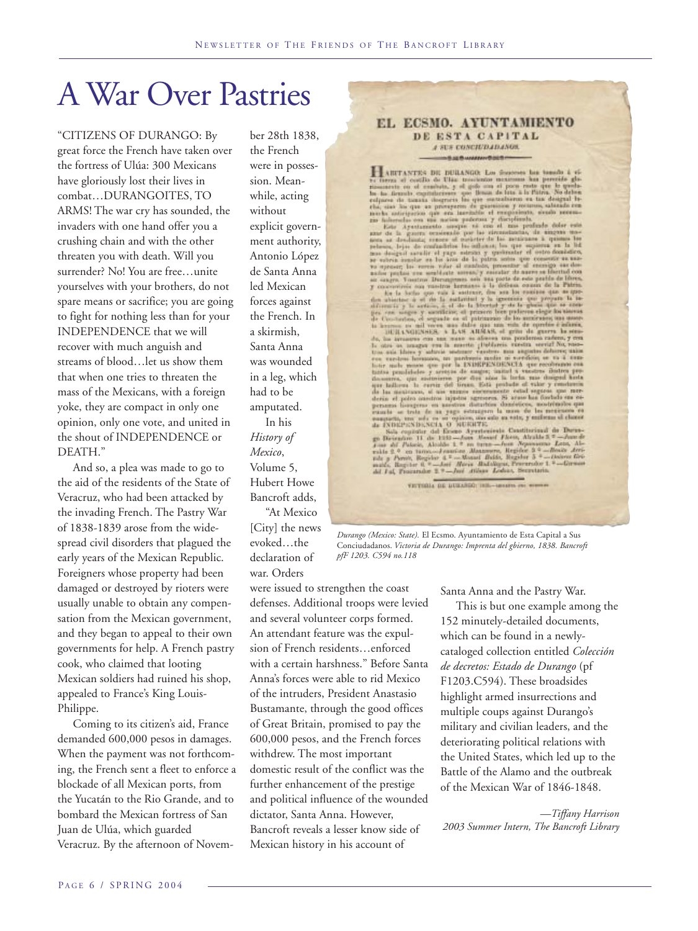# A War Over Pastries

"CITIZENS OF DURANGO: By great force the French have taken over the fortress of Ulúa: 300 Mexicans have gloriously lost their lives in combat…DURANGOITES, TO ARMS! The war cry has sounded, the invaders with one hand offer you a crushing chain and with the other threaten you with death. Will you surrender? No! You are free…unite yourselves with your brothers, do not spare means or sacrifice; you are going to fight for nothing less than for your INDEPENDENCE that we will recover with much anguish and streams of blood…let us show them that when one tries to threaten the mass of the Mexicans, with a foreign yoke, they are compact in only one opinion, only one vote, and united in the shout of INDEPENDENCE or DEATH."

And so, a plea was made to go to the aid of the residents of the State of Veracruz, who had been attacked by the invading French. The Pastry War of 1838-1839 arose from the widespread civil disorders that plagued the early years of the Mexican Republic. Foreigners whose property had been damaged or destroyed by rioters were usually unable to obtain any compensation from the Mexican government, and they began to appeal to their own governments for help. A French pastry cook, who claimed that looting Mexican soldiers had ruined his shop, appealed to France's King Louis-Philippe.

Coming to its citizen's aid, France demanded 600,000 pesos in damages. When the payment was not forthcoming, the French sent a fleet to enforce a blockade of all Mexican ports, from the Yucatán to the Rio Grande, and to bombard the Mexican fortress of San Juan de Ulúa, which guarded Veracruz. By the afternoon of November 28th 1838, the French were in possession. Meanwhile, acting without explicit government authority, Antonio López de Santa Anna led Mexican forces against the French. In a skirmish, Santa Anna was wounded in a leg, which had to be amputated.

In his *History of Mexico*, Volume 5, Hubert Howe Bancroft adds,

"At Mexico [City] the news evoked…the declaration of war. Orders

were issued to strengthen the coast defenses. Additional troops were levied and several volunteer corps formed. An attendant feature was the expulsion of French residents…enforced with a certain harshness." Before Santa Anna's forces were able to rid Mexico of the intruders, President Anastasio Bustamante, through the good offices of Great Britain, promised to pay the 600,000 pesos, and the French forces withdrew. The most important domestic result of the conflict was the further enhancement of the prestige and political influence of the wounded dictator, Santa Anna. However, Bancroft reveals a lesser know side of Mexican history in his account of

#### EL ECSMO. AYUNTAMIENTO DE ESTA CAPITAL A SUS CONCIUDADANOS. **HEALBWANNHOSER**

A SEE CONSERVABLE TRANSPORTED TRANSPORTED TRANSPORTED TRANSPORTED TRANSPORTED TRANSPORTED TRANSPORTED TRANSPORTED TRANSPORTED TRANSPORTED TRANSPORTED TRANSPORTED TRANSPORTED TRANSPORTED TRANSPORTED TRANSPORTED TRANSPORTED

VICTORIA DE DURANGO: ING. - MONTO, PR. WINNA

*Durango (Mexico: State).* El Ecsmo. Ayuntamiento de Esta Capital a Sus Conciudadanos. *Victoria de Durango: Imprenta del gbierno, 1838. Bancroft pfF 1203. C594 no.118*

Santa Anna and the Pastry War.

This is but one example among the 152 minutely-detailed documents, which can be found in a newlycataloged collection entitled *Colección de decretos: Estado de Durango* (pf F1203.C594). These broadsides highlight armed insurrections and multiple coups against Durango's military and civilian leaders, and the deteriorating political relations with the United States, which led up to the Battle of the Alamo and the outbreak of the Mexican War of 1846-1848.

*—Tiffany Harrison 2003 Summer Intern, The Bancroft Library*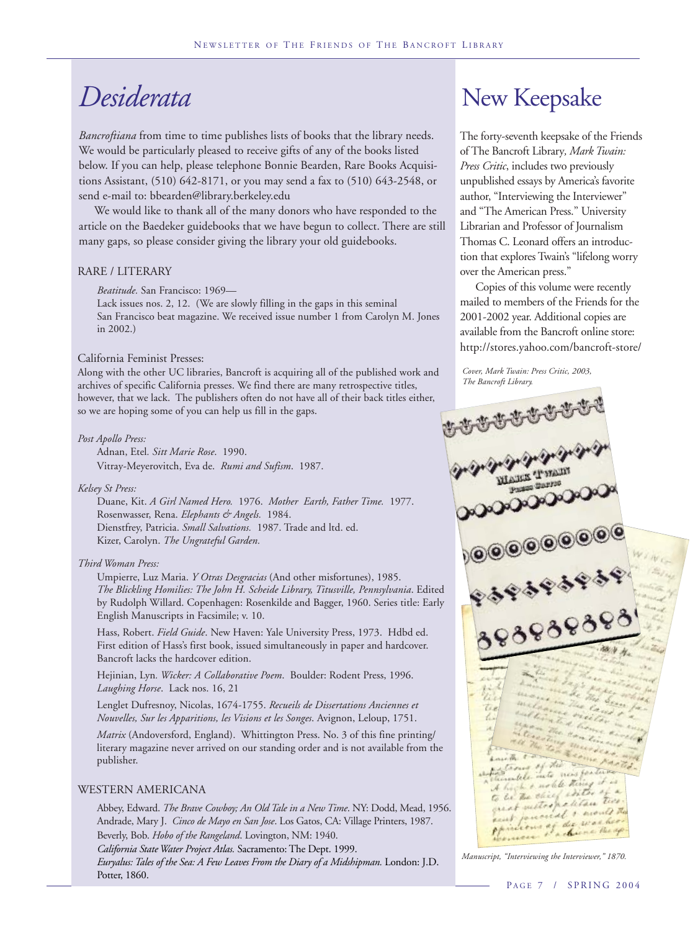## *Desiderata*

*Bancroftiana* from time to time publishes lists of books that the library needs. We would be particularly pleased to receive gifts of any of the books listed below. If you can help, please telephone Bonnie Bearden, Rare Books Acquisitions Assistant, (510) 642-8171, or you may send a fax to (510) 643-2548, or send e-mail to: bbearden@library.berkeley.edu

We would like to thank all of the many donors who have responded to the article on the Baedeker guidebooks that we have begun to collect. There are still many gaps, so please consider giving the library your old guidebooks.

#### RARE / LITERARY

*Beatitude.* San Francisco: 1969—

Lack issues nos. 2, 12. (We are slowly filling in the gaps in this seminal San Francisco beat magazine. We received issue number 1 from Carolyn M. Jones in 2002.)

#### California Feminist Presses:

Along with the other UC libraries, Bancroft is acquiring all of the published work and archives of specific California presses. We find there are many retrospective titles, however, that we lack. The publishers often do not have all of their back titles either, so we are hoping some of you can help us fill in the gaps.

#### *Post Apollo Press:*

Adnan, Etel*. Sitt Marie Rose*. 1990. Vitray-Meyerovitch, Eva de. *Rumi and Sufism*. 1987.

#### *Kelsey St Press:*

Duane, Kit. *A Girl Named Hero.* 1976. *Mother Earth, Father Time.* 1977. Rosenwasser, Rena. *Elephants & Angels.* 1984. Dienstfrey, Patricia. *Small Salvations.* 1987. Trade and ltd. ed. Kizer, Carolyn. *The Ungrateful Garden.*

#### *Third Woman Press:*

Umpierre, Luz Maria. *Y Otras Desgracias* (And other misfortunes), 1985. *The Blickling Homilies: The John H. Scheide Library, Titusville, Pennsylvania*. Edited by Rudolph Willard. Copenhagen: Rosenkilde and Bagger, 1960. Series title: Early English Manuscripts in Facsimile; v. 10.

Hass, Robert. *Field Guide*. New Haven: Yale University Press, 1973. Hdbd ed. First edition of Hass's first book, issued simultaneously in paper and hardcover. Bancroft lacks the hardcover edition.

Hejinian, Lyn*. Wicker: A Collaborative Poem*. Boulder: Rodent Press, 1996. *Laughing Horse*. Lack nos. 16, 21

Lenglet Dufresnoy, Nicolas, 1674-1755. *Recueils de Dissertations Anciennes et Nouvelles, Sur les Apparitions, les Visions et les Songes*. Avignon, Leloup, 1751.

*Matrix* (Andoversford, England). Whittington Press. No. 3 of this fine printing/ literary magazine never arrived on our standing order and is not available from the publisher.

#### WESTERN AMERICANA

Abbey, Edward. *The Brave Cowboy; An Old Tale in a New Time*. NY: Dodd, Mead, 1956. Andrade, Mary J. *Cinco de Mayo en San Jose*. Los Gatos, CA: Village Printers, 1987.

Beverly, Bob. *Hobo of the Rangeland*. Lovington, NM: 1940. *California State Water Project Atlas.* Sacramento: The Dept. 1999.

*Euryalus: Tales of the Sea: A Few Leaves From the Diary of a Midshipman.* London: J.D. Potter, 1860.

### New Keepsake

The forty-seventh keepsake of the Friends of The Bancroft Library*, Mark Twain: Press Critic*, includes two previously unpublished essays by America's favorite author, "Interviewing the Interviewer" and "The American Press." University Librarian and Professor of Journalism Thomas C. Leonard offers an introduction that explores Twain's "lifelong worry over the American press."

Copies of this volume were recently mailed to members of the Friends for the 2001-2002 year. Additional copies are available from the Bancroft online store: http://stores.yahoo.com/bancroft-store/

*Cover, Mark Twain: Press Critic, 2003, The Bancroft Library.*



*Manuscript, "Interviewing the Interviewer," 1870.*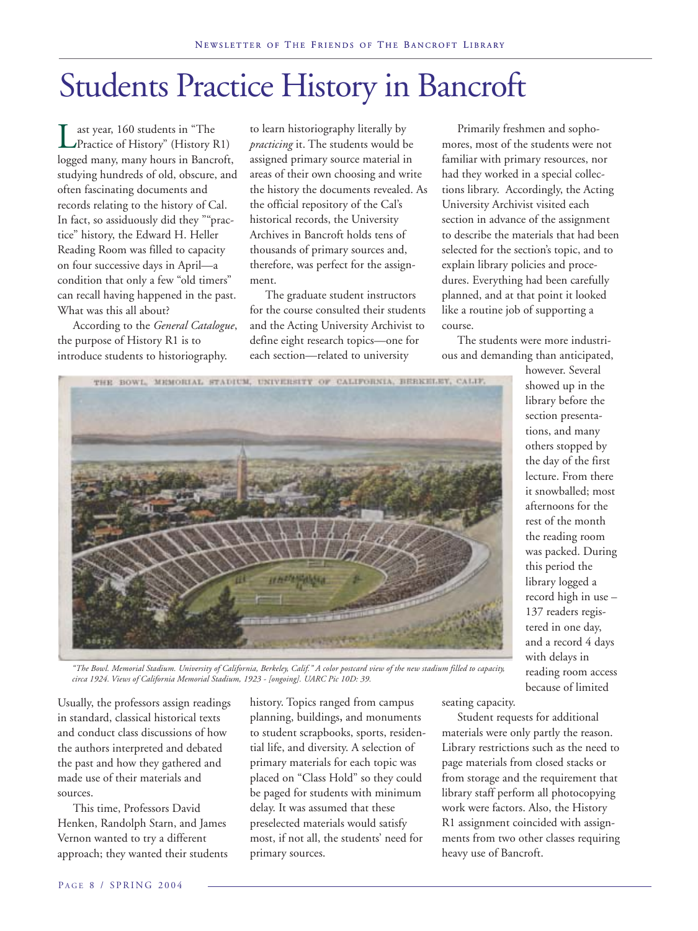# Students Practice History in Bancroft

ast year, 160 students in "The Practice of History" (History R1) logged many, many hours in Bancroft, studying hundreds of old, obscure, and often fascinating documents and records relating to the history of Cal. In fact, so assiduously did they ""practice" history, the Edward H. Heller Reading Room was filled to capacity on four successive days in April—a condition that only a few "old timers" can recall having happened in the past. What was this all about?

According to the *General Catalogue*, the purpose of History R1 is to introduce students to historiography.

to learn historiography literally by *practicing* it. The students would be assigned primary source material in areas of their own choosing and write the history the documents revealed. As the official repository of the Cal's historical records, the University Archives in Bancroft holds tens of thousands of primary sources and, therefore, was perfect for the assignment.

The graduate student instructors for the course consulted their students and the Acting University Archivist to define eight research topics—one for each section—related to university

Primarily freshmen and sophomores, most of the students were not familiar with primary resources, nor had they worked in a special collections library. Accordingly, the Acting University Archivist visited each section in advance of the assignment to describe the materials that had been selected for the section's topic, and to explain library policies and procedures. Everything had been carefully planned, and at that point it looked like a routine job of supporting a course.

The students were more industrious and demanding than anticipated,

however. Several



showed up in the library before the section presentations, and many others stopped by the day of the first lecture. From there it snowballed; most afternoons for the rest of the month the reading room was packed. During this period the library logged a record high in use – 137 readers registered in one day, and a record 4 days with delays in reading room access because of limited

*"The Bowl. Memorial Stadium. University of California, Berkeley, Calif." A color postcard view of the new stadium filled to capacity, circa 1924. Views of California Memorial Stadium, 1923 - [ongoing]. UARC Pic 10D: 39.*

Usually, the professors assign readings in standard, classical historical texts and conduct class discussions of how the authors interpreted and debated the past and how they gathered and made use of their materials and sources.

This time, Professors David Henken, Randolph Starn, and James Vernon wanted to try a different approach; they wanted their students history. Topics ranged from campus planning, buildings**,** and monuments to student scrapbooks, sports, residential life, and diversity. A selection of primary materials for each topic was placed on "Class Hold" so they could be paged for students with minimum delay. It was assumed that these preselected materials would satisfy most, if not all, the students' need for primary sources.

seating capacity.

Student requests for additional materials were only partly the reason. Library restrictions such as the need to page materials from closed stacks or from storage and the requirement that library staff perform all photocopying work were factors. Also, the History R1 assignment coincided with assignments from two other classes requiring heavy use of Bancroft.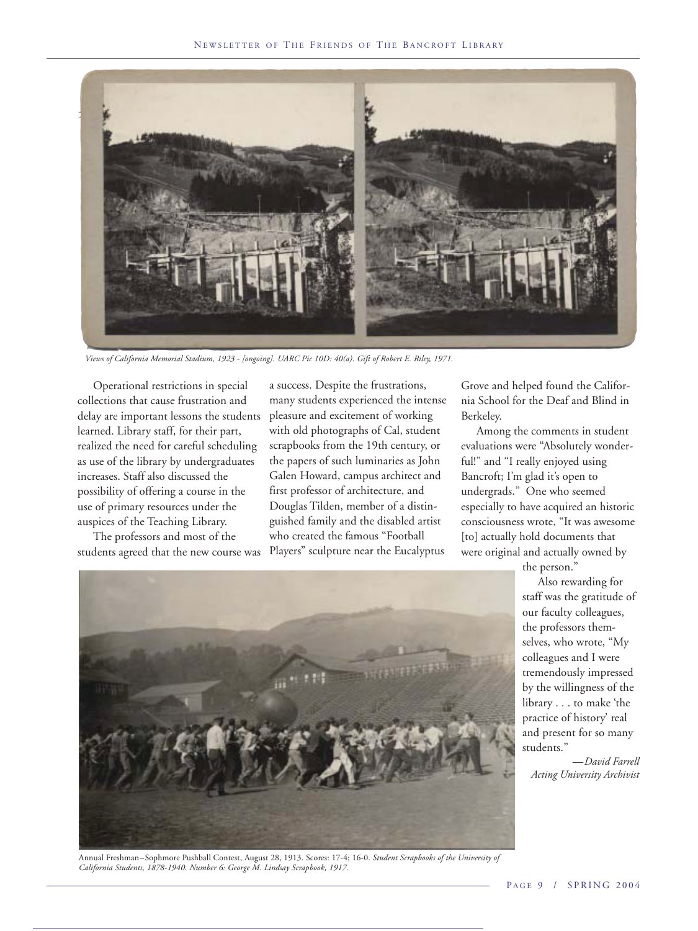

*Views of California Memorial Stadium, 1923 - [ongoing]. UARC Pic 10D: 40(a). Gift of Robert E. Riley, 1971.*

Operational restrictions in special collections that cause frustration and delay are important lessons the students learned. Library staff, for their part, realized the need for careful scheduling as use of the library by undergraduates increases. Staff also discussed the possibility of offering a course in the use of primary resources under the auspices of the Teaching Library.

The professors and most of the students agreed that the new course was a success. Despite the frustrations, many students experienced the intense pleasure and excitement of working with old photographs of Cal, student scrapbooks from the 19th century, or the papers of such luminaries as John Galen Howard, campus architect and first professor of architecture, and Douglas Tilden, member of a distinguished family and the disabled artist who created the famous "Football Players" sculpture near the Eucalyptus

Grove and helped found the California School for the Deaf and Blind in Berkeley.

Among the comments in student evaluations were "Absolutely wonderful!" and "I really enjoyed using Bancroft; I'm glad it's open to undergrads." One who seemed especially to have acquired an historic consciousness wrote, "It was awesome [to] actually hold documents that were original and actually owned by

> the person." Also rewarding for staff was the gratitude of our faculty colleagues, the professors themselves, who wrote, "My colleagues and I were tremendously impressed by the willingness of the library . . . to make 'the practice of history' real and present for so many students."

*—David Farrell Acting University Archivist*



Annual Freshman–Sophmore Pushball Contest, August 28, 1913. Scores: 17-4; 16-0. *Student Scrapbooks of the University of California Students, 1878-1940. Number 6: George M. Lindsay Scrapbook, 1917.*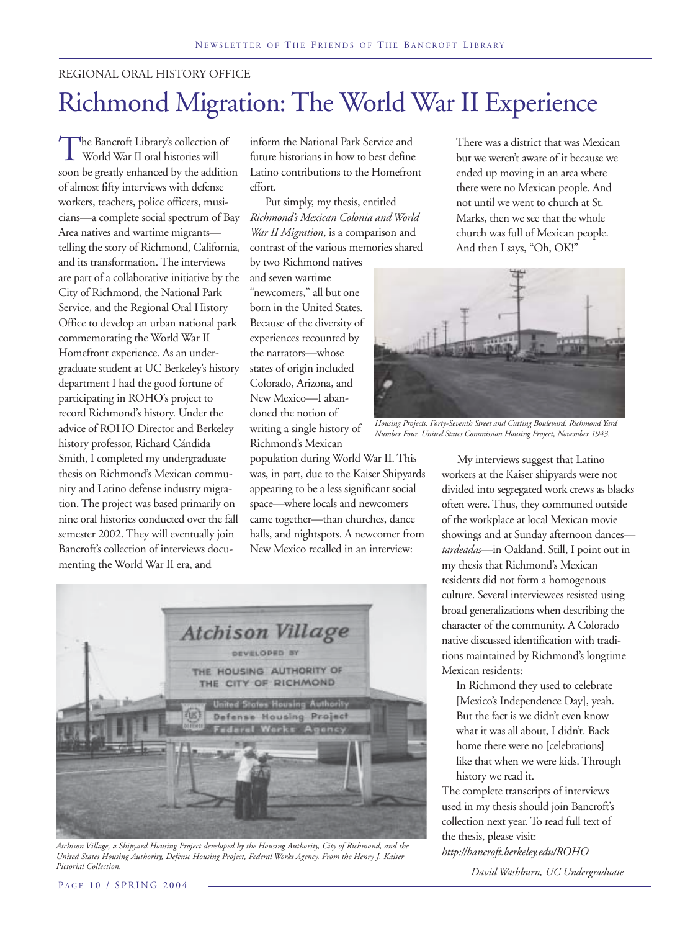#### REGIONAL ORAL HISTORY OFFICE

# Richmond Migration: The World War II Experience

The Bancroft Library's collection of World War II oral histories will soon be greatly enhanced by the addition of almost fifty interviews with defense workers, teachers, police officers, musicians—a complete social spectrum of Bay Area natives and wartime migrants telling the story of Richmond, California, and its transformation. The interviews are part of a collaborative initiative by the City of Richmond, the National Park Service, and the Regional Oral History Office to develop an urban national park commemorating the World War II Homefront experience. As an undergraduate student at UC Berkeley's history department I had the good fortune of participating in ROHO's project to record Richmond's history. Under the advice of ROHO Director and Berkeley history professor, Richard Cándida Smith, I completed my undergraduate thesis on Richmond's Mexican community and Latino defense industry migration. The project was based primarily on nine oral histories conducted over the fall semester 2002. They will eventually join Bancroft's collection of interviews documenting the World War II era, and

inform the National Park Service and future historians in how to best define Latino contributions to the Homefront effort.

Put simply, my thesis, entitled *Richmond's Mexican Colonia and World War II Migration*, is a comparison and contrast of the various memories shared by two Richmond natives

and seven wartime "newcomers," all but one born in the United States. Because of the diversity of experiences recounted by the narrators—whose states of origin included Colorado, Arizona, and New Mexico—I abandoned the notion of writing a single history of Richmond's Mexican

population during World War II. This was, in part, due to the Kaiser Shipyards appearing to be a less significant social space—where locals and newcomers came together—than churches, dance halls, and nightspots. A newcomer from New Mexico recalled in an interview:



*Atchison Village, a Shipyard Housing Project developed by the Housing Authority, City of Richmond, and the United States Housing Authority, Defense Housing Project, Federal Works Agency. From the Henry J. Kaiser Pictorial Collection.*

There was a district that was Mexican but we weren't aware of it because we ended up moving in an area where there were no Mexican people. And not until we went to church at St. Marks, then we see that the whole church was full of Mexican people. And then I says, "Oh, OK!"



*Housing Projects, Forty-Seventh Street and Cutting Boulevard, Richmond Yard Number Four. United States Commission Housing Project, November 1943.*

My interviews suggest that Latino workers at the Kaiser shipyards were not divided into segregated work crews as blacks often were. Thus, they communed outside of the workplace at local Mexican movie showings and at Sunday afternoon dances *tardeadas*—in Oakland. Still, I point out in my thesis that Richmond's Mexican residents did not form a homogenous culture. Several interviewees resisted using broad generalizations when describing the character of the community. A Colorado native discussed identification with traditions maintained by Richmond's longtime Mexican residents:

In Richmond they used to celebrate [Mexico's Independence Day], yeah. But the fact is we didn't even know what it was all about, I didn't. Back home there were no [celebrations] like that when we were kids. Through history we read it.

The complete transcripts of interviews used in my thesis should join Bancroft's collection next year. To read full text of the thesis, please visit: *http://bancroft.berkeley.edu/ROHO*

*—David Washburn, UC Undergraduate*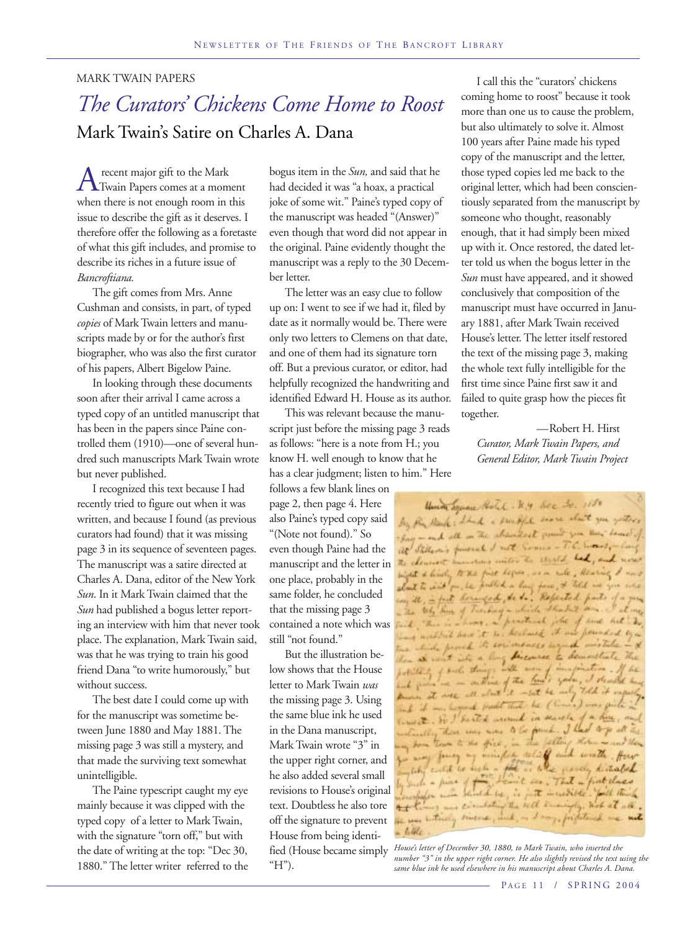#### MARK TWAIN PAPERS

### *The Curators' Chickens Come Home to Roost* Mark Twain's Satire on Charles A. Dana

A recent major gift to the Mark<br>Twain Papers comes at a moment when there is not enough room in this issue to describe the gift as it deserves. I therefore offer the following as a foretaste of what this gift includes, and promise to describe its riches in a future issue of *Bancroftiana.*

The gift comes from Mrs. Anne Cushman and consists, in part, of typed *copies* of Mark Twain letters and manuscripts made by or for the author's first biographer, who was also the first curator of his papers, Albert Bigelow Paine.

In looking through these documents soon after their arrival I came across a typed copy of an untitled manuscript that has been in the papers since Paine controlled them (1910)—one of several hundred such manuscripts Mark Twain wrote but never published.

I recognized this text because I had recently tried to figure out when it was written, and because I found (as previous curators had found) that it was missing page 3 in its sequence of seventeen pages. The manuscript was a satire directed at Charles A. Dana, editor of the New York *Sun*. In it Mark Twain claimed that the *Sun* had published a bogus letter reporting an interview with him that never took place. The explanation, Mark Twain said, was that he was trying to train his good friend Dana "to write humorously," but without success.

The best date I could come up with for the manuscript was sometime between June 1880 and May 1881. The missing page 3 was still a mystery, and that made the surviving text somewhat unintelligible.

The Paine typescript caught my eye mainly because it was clipped with the typed copy of a letter to Mark Twain, with the signature "torn off," but with the date of writing at the top: "Dec 30, 1880." The letter writer referred to the bogus item in the *Sun,* and said that he had decided it was "a hoax, a practical joke of some wit." Paine's typed copy of the manuscript was headed "(Answer)" even though that word did not appear in the original. Paine evidently thought the manuscript was a reply to the 30 December letter.

The letter was an easy clue to follow up on: I went to see if we had it, filed by date as it normally would be. There were only two letters to Clemens on that date, and one of them had its signature torn off. But a previous curator, or editor, had helpfully recognized the handwriting and identified Edward H. House as its author.

This was relevant because the manuscript just before the missing page 3 reads as follows: "here is a note from H.; you know H. well enough to know that he has a clear judgment; listen to him." Here

follows a few blank lines on page 2, then page 4. Here also Paine's typed copy said "(Note not found)." So even though Paine had the manuscript and the letter in one place, probably in the same folder, he concluded that the missing page 3 contained a note which was still "not found."

But the illustration below shows that the House letter to Mark Twain *was* the missing page 3. Using the same blue ink he used in the Dana manuscript, Mark Twain wrote "3" in the upper right corner, and he also added several small revisions to House's original text. Doubtless he also tore off the signature to prevent House from being identified (House became simply " $H$ ").

I call this the "curators' chickens coming home to roost" because it took more than one us to cause the problem, but also ultimately to solve it. Almost 100 years after Paine made his typed copy of the manuscript and the letter, those typed copies led me back to the original letter, which had been conscientiously separated from the manuscript by someone who thought, reasonably enough, that it had simply been mixed up with it. Once restored, the dated letter told us when the bogus letter in the *Sun* must have appeared, and it showed conclusively that composition of the manuscript must have occurred in January 1881, after Mark Twain received House's letter. The letter itself restored the text of the missing page 3, making the whole text fully intelligible for the first time since Paine first saw it and failed to quite grasp how the pieces fit together.

—Robert H. Hirst *Curator, Mark Twain Papers, and General Editor, Mark Twain Project*

Union Service Hotel . M.y. Bec 20. 1180 by the Mark: I had a small soon short you yetters for - and all in the chanderst from you am home ! at Stillars's forested not comes - T.C. want, - long The chancest inmornes with the shirld had, and now with & lively to the first hopes, we are with, thereing I am I about to wish or he publish a long face, it till we give a The Why have of Tuesday a which Shadret of hors . - prestical , the of sure will fail "There as ing until have it to beclose it as in which proved its evidences ago Then at went who a long discourse to den polities of such then and prince - outline of the la -let be using Told if known at well with about ind it was hegoed book that he Clin limit. So I harted around in search there was now to be found. I had marchine my form town to the first, . Willing for my formy of mindle while and write four in the parchy distable which culd to her the who force, kitabel afor and what he, is just insertible faith think may and circulating the will traningly, Web at all.  $2+1$ the same between sincere, incl. or I any, fristatived we not

*House's letter of December 30, 1880, to Mark Twain, who inserted the number "3" in the upper right corner. He also slightly revised the text using the same blue ink he used elsewhere in his manuscript about Charles A. Dana.*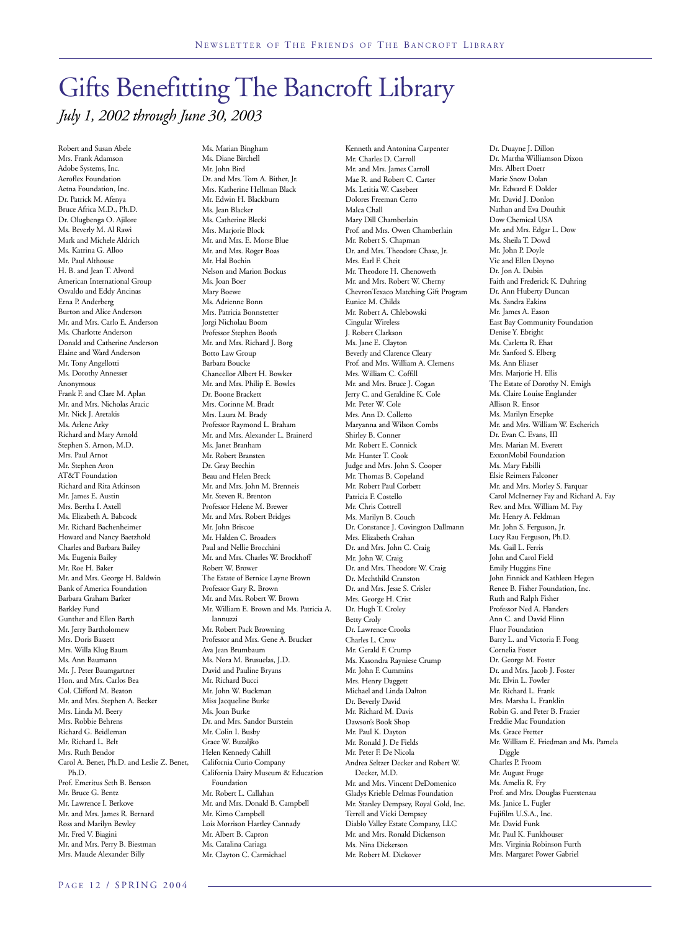### Gifts Benefitting The Bancroft Library *July 1, 2002 through June 30, 2003*

Robert and Susan Abele Mrs. Frank Adamson Adobe Systems, Inc. Aeroflex Foundation Aetna Foundation, Inc. Dr. Patrick M. Afenya Bruce Africa M.D., Ph.D. Dr. Olugbenga O. Ajilore Ms. Beverly M. Al Rawi Mark and Michele Aldrich Ms. Katrina G. Alloo Mr. Paul Althouse H. B. and Jean T. Alvord American International Group Osvaldo and Eddy Ancinas Erna P. Anderberg Burton and Alice Anderson Mr. and Mrs. Carlo E. Anderson Ms. Charlotte Anderson Donald and Catherine Anderson Elaine and Ward Anderson Mr. Tony Angellotti Ms. Dorothy Annesser Anonymous Frank F. and Clare M. Aplan Mr. and Mrs. Nicholas Aracic Mr. Nick J. Aretakis Ms. Arlene Arky Richard and Mary Arnold Stephen S. Arnon, M.D. Mrs. Paul Arnot Mr. Stephen Aron AT&T Foundation Richard and Rita Atkinson Mr. James E. Austin Mrs. Bertha I. Axtell Ms. Elizabeth A. Babcock Mr. Richard Bachenheimer Howard and Nancy Baetzhold Charles and Barbara Bailey Ms. Eugenia Bailey Mr. Roe H. Baker Mr. and Mrs. George H. Baldwin Bank of America Foundation Barbara Graham Barker Barkley Fund Gunther and Ellen Barth Mr. Jerry Bartholomew Mrs. Doris Bassett Mrs. Willa Klug Baum Ms. Ann Baumann Mr. J. Peter Baumgartner Hon. and Mrs. Carlos Bea Col. Clifford M. Beaton Mr. and Mrs. Stephen A. Becker Mrs. Linda M. Beery Mrs. Robbie Behrens Richard G. Beidleman Mr. Richard L. Belt Mrs. Ruth Bendor Carol A. Benet, Ph.D. and Leslie Z. Benet, Ph.D. Prof. Emeritus Seth B. Benson Mr. Bruce G. Bentz Mr. Lawrence I. Berkove Mr. and Mrs. James R. Bernard Ross and Marilyn Bewley Mr. Fred V. Biagini Mr. and Mrs. Perry B. Biestman Mrs. Maude Alexander Billy

Ms. Marian Bingham Ms. Diane Birchell Mr. John Bird Dr. and Mrs. Tom A. Bither, Jr. Mrs. Katherine Hellman Black Mr. Edwin H. Blackburn Ms. Jean Blacker Ms. Catherine Blecki Mrs. Marjorie Block Mr. and Mrs. E. Morse Blue Mr. and Mrs. Roger Boas Mr. Hal Bochin Nelson and Marion Bockus Ms. Joan Boer Mary Boewe Ms. Adrienne Bonn Mrs. Patricia Bonnstetter Jorgi Nicholau Boom Professor Stephen Booth Mr. and Mrs. Richard J. Borg Botto Law Group Barbara Boucke Chancellor Albert H. Bowker Mr. and Mrs. Philip E. Bowles Dr. Boone Brackett Mrs. Corinne M. Bradt Mrs. Laura M. Brady Professor Raymond L. Braham Mr. and Mrs. Alexander L. Brainerd Ms. Janet Branham Mr. Robert Bransten Dr. Gray Brechin Beau and Helen Breck Mr. and Mrs. John M. Brenneis Mr. Steven R. Brenton Professor Helene M. Brewer Mr. and Mrs. Robert Bridges Mr. John Briscoe Mr. Halden C. Broaders Paul and Nellie Brocchini Mr. and Mrs. Charles W. Brockhoff Robert W. Brower The Estate of Bernice Layne Brown Professor Gary R. Brown Mr. and Mrs. Robert W. Brown Mr. William E. Brown and Ms. Patricia A. Iannuzzi Mr. Robert Pack Browning Professor and Mrs. Gene A. Brucker Ava Jean Brumbaum Ms. Nora M. Brusuelas, J.D. David and Pauline Bryans Mr. Richard Bucci Mr. John W. Buckman Miss Jacqueline Burke Ms. Joan Burke Dr. and Mrs. Sandor Burstein Mr. Colin I. Busby Grace W. Buzaljko Helen Kennedy Cahill California Curio Company California Dairy Museum & Education Foundation Mr. Robert L. Callahan Mr. and Mrs. Donald B. Campbell Mr. Kimo Campbell Lois Morrison Hartley Cannady Mr. Albert B. Capron Ms. Catalina Cariaga Mr. Clayton C. Carmichael

Kenneth and Antonina Carpenter Mr. Charles D. Carroll Mr. and Mrs. James Carroll Mae R. and Robert C. Carter Ms. Letitia W. Casebeer Dolores Freeman Cerro Malca Chall Mary Dill Chamberlain Prof. and Mrs. Owen Chamberlain Mr. Robert S. Chapman Dr. and Mrs. Theodore Chase, Jr. Mrs. Earl F. Cheit Mr. Theodore H. Chenoweth Mr. and Mrs. Robert W. Cherny ChevronTexaco Matching Gift Program Eunice M. Childs Mr. Robert A. Chlebowski Cingular Wireless J. Robert Clarkson Ms. Jane E. Clayton Beverly and Clarence Cleary Prof. and Mrs. William A. Clemens Mrs. William C. Coffill Mr. and Mrs. Bruce J. Cogan Jerry C. and Geraldine K. Cole Mr. Peter W. Cole Mrs. Ann D. Colletto Maryanna and Wilson Combs Shirley B. Conner Mr. Robert E. Connick Mr. Hunter T. Cook Judge and Mrs. John S. Cooper Mr. Thomas B. Copeland Mr. Robert Paul Corbett Patricia F. Costello Mr. Chris Cottrell Ms. Marilyn B. Couch Dr. Constance J. Covington Dallmann Mrs. Elizabeth Crahan Dr. and Mrs. John C. Craig Mr. John W. Craig Dr. and Mrs. Theodore W. Craig Dr. Mechthild Cranston Dr. and Mrs. Jesse S. Crisler Mrs. George H. Crist Dr. Hugh T. Croley Betty Croly Dr. Lawrence Crooks Charles L. Crow Mr. Gerald F. Crump Ms. Kasondra Rayniese Crump Mr. John F. Cummins Mrs. Henry Daggett Michael and Linda Dalton Dr. Beverly David Mr. Richard M. Davis Dawson's Book Shop Mr. Paul K. Dayton Mr. Ronald J. De Fields Mr. Peter F. De Nicola Andrea Seltzer Decker and Robert W. Decker, M.D. Mr. and Mrs. Vincent DeDomenico Gladys Krieble Delmas Foundation Mr. Stanley Dempsey, Royal Gold, Inc. Terrell and Vicki Dempsey Diablo Valley Estate Company, LLC Mr. and Mrs. Ronald Dickenson Ms. Nina Dickerson Mr. Robert M. Dickover

Dr. Duayne J. Dillon Dr. Martha Williamson Dixon Mrs. Albert Doerr Marie Snow Dolan Mr. Edward F. Dolder Mr. David J. Donlon Nathan and Eva Douthit Dow Chemical USA Mr. and Mrs. Edgar L. Dow Ms. Sheila T. Dowd Mr. John P. Doyle Vic and Ellen Doyno Dr. Jon A. Dubin Faith and Frederick K. Duhring Dr. Ann Huberty Duncan Ms. Sandra Eakins Mr. James A. Eason East Bay Community Foundation Denise Y. Ebright Ms. Carletta R. Ehat Mr. Sanford S. Elberg Ms. Ann Eliaser Mrs. Marjorie H. Ellis The Estate of Dorothy N. Emigh Ms. Claire Louise Englander Allison R. Ensor Ms. Marilyn Ersepke Mr. and Mrs. William W. Escherich Dr. Evan C. Evans, III Mrs. Marian M. Everett ExxonMobil Foundation Ms. Mary Fabilli Elsie Reimers Falconer Mr. and Mrs. Morley S. Farquar Carol McInerney Fay and Richard A. Fay Rev. and Mrs. William M. Fay Mr. Henry A. Feldman Mr. John S. Ferguson, Jr. Lucy Rau Ferguson, Ph.D. Ms. Gail L. Ferris John and Carol Field Emily Huggins Fine John Finnick and Kathleen Hegen Renee B. Fisher Foundation, Inc. Ruth and Ralph Fisher Professor Ned A. Flanders Ann C. and David Flinn Fluor Foundation Barry L. and Victoria F. Fong Cornelia Foster Dr. George M. Foster Dr. and Mrs. Jacob J. Foster Mr. Elvin L. Fowler Mr. Richard L. Frank Mrs. Marsha L. Franklin Robin G. and Peter B. Frazier Freddie Mac Foundation Ms. Grace Fretter Mr. William E. Friedman and Ms. Pamela Diggle Charles P. Froom Mr. August Fruge Ms. Amelia R. Fry Prof. and Mrs. Douglas Fuerstenau Ms. Janice L. Fugler Fujifilm U.S.A., Inc. Mr. David Funk Mr. Paul K. Funkhouser Mrs. Virginia Robinson Furth Mrs. Margaret Power Gabriel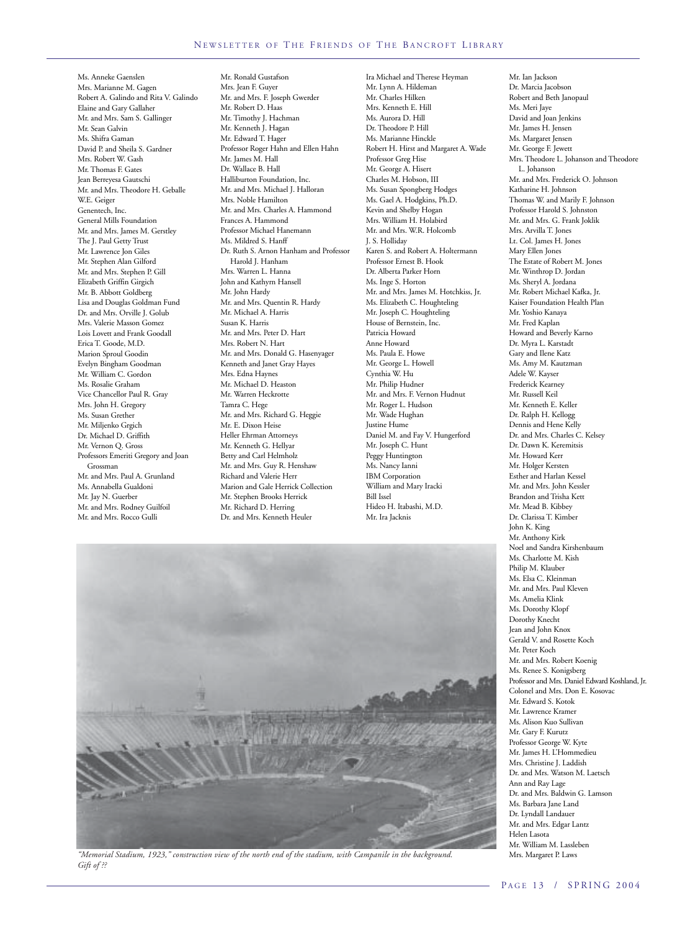Ms. Anneke Gaenslen Mrs. Marianne M. Gagen Robert A. Galindo and Rita V. Galindo Elaine and Gary Gallaher Mr. and Mrs. Sam S. Gallinger Mr. Sean Galvin Ms. Shifra Gaman David P. and Sheila S. Gardner Mrs. Robert W. Gash Mr. Thomas F. Gates Jean Berreyesa Gautschi Mr. and Mrs. Theodore H. Geballe W.E. Geiger Genentech, Inc. General Mills Foundation Mr. and Mrs. James M. Gerstley The J. Paul Getty Trust Mr. Lawrence Jon Giles Mr. Stephen Alan Gilford Mr. and Mrs. Stephen P. Gill Elizabeth Griffin Girgich Mr. B. Abbott Goldberg Lisa and Douglas Goldman Fund Dr. and Mrs. Orville J. Golub Mrs. Valerie Masson Gomez Lois Lovett and Frank Goodall Erica T. Goode, M.D. Marion Sproul Goodin Evelyn Bingham Goodman Mr. William C. Gordon Ms. Rosalie Graham Vice Chancellor Paul R. Gray Mrs. John H. Gregory Ms. Susan Grether Mr. Miljenko Grgich Dr. Michael D. Griffith Mr. Vernon Q. Gross Professors Emeriti Gregory and Joan Grossman Mr. and Mrs. Paul A. Grunland Ms. Annabella Gualdoni Mr. Jay N. Guerber Mr. and Mrs. Rodney Guilfoil Mr. and Mrs. Rocco Gulli

Mr. Ronald Gustafson Mrs. Jean F. Guyer Mr. and Mrs. F. Joseph Gwerder Mr. Robert D. Haas Mr. Timothy J. Hachman Mr. Kenneth J. Hagan Mr. Edward T. Hager Professor Roger Hahn and Ellen Hahn Mr. James M. Hall Dr. Wallace B. Hall Halliburton Foundation, Inc. Mr. and Mrs. Michael J. Halloran Mrs. Noble Hamilton Mr. and Mrs. Charles A. Hammond Frances A. Hammond Professor Michael Hanemann Ms. Mildred S. Hanff Dr. Ruth S. Arnon Hanham and Professor Harold J. Hanham Mrs. Warren L. Hanna John and Kathyrn Hansell Mr. John Hardy Mr. and Mrs. Quentin R. Hardy Mr. Michael A. Harris Susan K. Harris Mr. and Mrs. Peter D. Hart Mrs. Robert N. Hart Mr. and Mrs. Donald G. Hasenyager Kenneth and Janet Gray Hayes Mrs. Edna Haynes Mr. Michael D. Heaston Mr. Warren Heckrotte Tamra C. Hege Mr. and Mrs. Richard G. Heggie Mr. E. Dixon Heise Heller Ehrman Attorneys Mr. Kenneth G. Hellyar Betty and Carl Helmholz Mr. and Mrs. Guy R. Henshaw Richard and Valerie Herr Marion and Gale Herrick Collection Mr. Stephen Brooks Herrick Mr. Richard D. Herring Dr. and Mrs. Kenneth Heuler

Ira Michael and Therese Heyman Mr. Lynn A. Hildeman Mr. Charles Hilken Mrs. Kenneth E. Hill Ms. Aurora D. Hill Dr. Theodore P. Hill Ms. Marianne Hinckle Robert H. Hirst and Margaret A. Wade Professor Greg Hise Mr. George A. Hisert Charles M. Hobson, III Ms. Susan Spongberg Hodges Ms. Gael A. Hodgkins, Ph.D. Kevin and Shelby Hogan Mrs. William H. Holabird Mr. and Mrs. W.R. Holcomb J. S. Holliday Karen S. and Robert A. Holtermann Professor Ernest B. Hook Dr. Alberta Parker Horn Ms. Inge S. Horton Mr. and Mrs. James M. Hotchkiss, Jr. Ms. Elizabeth C. Houghteling Mr. Joseph C. Houghteling House of Bernstein, Inc. Patricia Howard Anne Howard Ms. Paula E. Howe Mr. George L. Howell Cynthia W. Hu Mr. Philip Hudner Mr. and Mrs. F. Vernon Hudnut Mr. Roger L. Hudson Mr. Wade Hughan Justine Hume Daniel M. and Fay V. Hungerford Mr. Joseph C. Hunt Peggy Huntington Ms. Nancy Ianni IBM Corporation William and Mary Iracki Bill Issel Hideo H. Itabashi, M.D. Mr. Ira Jacknis



*"Memorial Stadium, 1923," construction view of the north end of the stadium, with Campanile in the background.* Mrs. Margaret P. Laws *Gift of ??*

Mr. Ian Jackson Dr. Marcia Jacobson Robert and Beth Janopaul Ms. Meri Jaye David and Joan Jenkins Mr. James H. Jensen Ms. Margaret Jensen Mr. George F. Jewett Mrs. Theodore L. Johanson and Theodore L. Johanson Mr. and Mrs. Frederick O. Johnson Katharine H. Johnson Thomas W. and Marily F. Johnson Professor Harold S. Johnston Mr. and Mrs. G. Frank Joklik Mrs. Arvilla T. Jones Lt. Col. James H. Jones Mary Ellen Jones The Estate of Robert M. Jones Mr. Winthrop D. Jordan Ms. Sheryl A. Jordana Mr. Robert Michael Kafka, Jr. Kaiser Foundation Health Plan Mr. Yoshio Kanaya Mr. Fred Kaplan Howard and Beverly Karno Dr. Myra L. Karstadt Gary and Ilene Katz Ms. Amy M. Kautzman Adele W. Kayser Frederick Kearney Mr. Russell Keil Mr. Kenneth E. Keller Dr. Ralph H. Kellogg Dennis and Hene Kelly Dr. and Mrs. Charles C. Kelsey Dr. Dawn K. Keremitsis Mr. Howard Kerr Mr. Holger Kersten Esther and Harlan Kessel Mr. and Mrs. John Kessler Brandon and Trisha Kett Mr. Mead B. Kibbey Dr. Clarissa T. Kimber John K. King Mr. Anthony Kirk Noel and Sandra Kirshenbaum Ms. Charlotte M. Kish Philip M. Klauber Ms. Elsa C. Kleinman Mr. and Mrs. Paul Kleven Ms. Amelia Klink Ms. Dorothy Klopf Dorothy Knecht Jean and John Knox Gerald V. and Rosette Koch Mr. Peter Koch Mr. and Mrs. Robert Koenig Ms. Renee S. Konigsberg Professor and Mrs. Daniel Edward Koshland, Jr. Colonel and Mrs. Don E. Kosovac Mr. Edward S. Kotok Mr. Lawrence Kramer Ms. Alison Kuo Sullivan Mr. Gary F. Kurutz Professor George W. Kyte Mr. James H. L'Hommedieu Mrs. Christine J. Laddish Dr. and Mrs. Watson M. Laetsch Ann and Ray Lage Dr. and Mrs. Baldwin G. Lamson Ms. Barbara Jane Land Dr. Lyndall Landauer Mr. and Mrs. Edgar Lantz Helen Lasota Mr. William M. Lassleben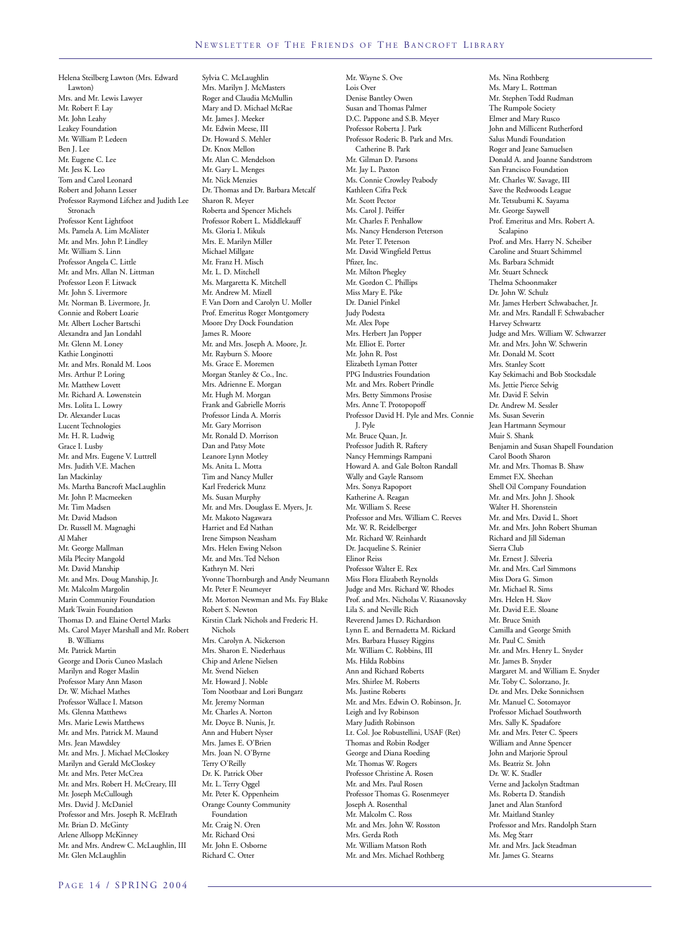Helena Steilberg Lawton (Mrs. Edward Lawton) Mrs. and Mr. Lewis Lawyer Mr. Robert F. Lay Mr. John Leahy Leakey Foundation Mr. William P. Ledeen Ben J. Lee Mr. Eugene C. Lee Mr. Jess K. Leo Tom and Carol Leonard Robert and Johann Lesser Professor Raymond Lifchez and Judith Lee Stronach Professor Kent Lightfoot Ms. Pamela A. Lim McAlister Mr. and Mrs. John P. Lindley Mr. William S. Linn Professor Angela C. Little Mr. and Mrs. Allan N. Littman Professor Leon F. Litwack Mr. John S. Livermore Mr. Norman B. Livermore, Jr. Connie and Robert Loarie Mr. Albert Locher Bartschi Alexandra and Jan Londahl Mr. Glenn M. Loney Kathie Longinotti Mr. and Mrs. Ronald M. Loos Mrs. Arthur P. Loring Mr. Matthew Lovett Mr. Richard A. Lowenstein Mrs. Lolita L. Lowry Dr. Alexander Lucas Lucent Technologies Mr. H. R. Ludwig Grace I. Lusby Mr. and Mrs. Eugene V. Luttrell Mrs. Judith V.E. Machen Ian Mackinlay Ms. Martha Bancroft MacLaughlin Mr. John P. Macmeeken Mr. Tim Madsen Mr. David Madson Dr. Russell M. Magnaghi Al Maher Mr. George Mallman Mila Plecity Mangold Mr. David Manship Mr. and Mrs. Doug Manship, Jr. Mr. Malcolm Margolin Marin Community Foundation Mark Twain Foundation Thomas D. and Elaine Oertel Marks Ms. Carol Mayer Marshall and Mr. Robert B. Williams Mr. Patrick Martin George and Doris Cuneo Maslach Marilyn and Roger Maslin Professor Mary Ann Mason Dr. W. Michael Mathes Professor Wallace I. Matson Ms. Glenna Matthews Mrs. Marie Lewis Matthews Mr. and Mrs. Patrick M. Maund Mrs. Jean Mawdsley Mr. and Mrs. J. Michael McCloskey Marilyn and Gerald McCloskey Mr. and Mrs. Peter McCrea Mr. and Mrs. Robert H. McCreary, III Mr. Joseph McCullough Mrs. David J. McDaniel Professor and Mrs. Joseph R. McElrath Mr. Brian D. McGinty Arlene Allsopp McKinney Mr. and Mrs. Andrew C. McLaughlin, III Mr. Glen McLaughlin

Sylvia C. McLaughlin Mrs. Marilyn J. McMasters Roger and Claudia McMullin Mary and D. Michael McRae Mr. James J. Meeker Mr. Edwin Meese, III Dr. Howard S. Mehler Dr. Knox Mellon Mr. Alan C. Mendelson Mr. Gary L. Menges Mr. Nick Menzies Dr. Thomas and Dr. Barbara Metcalf Sharon R. Meyer Roberta and Spencer Michels Professor Robert L. Middlekauff Ms. Gloria I. Mikuls Mrs. E. Marilyn Miller Michael Millgate Mr. Franz H. Misch Mr. L. D. Mitchell Ms. Margaretta K. Mitchell Mr. Andrew M. Mizell F. Van Dorn and Carolyn U. Moller Prof. Emeritus Roger Montgomery Moore Dry Dock Foundation James R. Moore Mr. and Mrs. Joseph A. Moore, Jr. Mr. Rayburn S. Moore Ms. Grace E. Moremen Morgan Stanley & Co., Inc. Mrs. Adrienne E. Morgan Mr. Hugh M. Morgan Frank and Gabrielle Morris Professor Linda A. Morris Mr. Gary Morrison Mr. Ronald D. Morrison Dan and Patsy Mote Leanore Lynn Motley Ms. Anita L. Motta Tim and Nancy Muller Karl Frederick Munz Ms. Susan Murphy Mr. and Mrs. Douglass E. Myers, Jr. Mr. Makoto Nagawara Harriet and Ed Nathan Irene Simpson Neasham Mrs. Helen Ewing Nelson Mr. and Mrs. Ted Nelson Kathryn M. Neri Yvonne Thornburgh and Andy Neumann Mr. Peter F. Neumeyer Mr. Morton Newman and Ms. Fay Blake Robert S. Newton Kirstin Clark Nichols and Frederic H. Nichols Mrs. Carolyn A. Nickerson Mrs. Sharon E. Niederhaus Chip and Arlene Nielsen Mr. Svend Nielsen Mr. Howard J. Noble Tom Nootbaar and Lori Bungarz Mr. Jeremy Norman Mr. Charles A. Norton Mr. Doyce B. Nunis, Jr. Ann and Hubert Nyser Mrs. James E. O'Brien Mrs. Joan N. O'Byrne Terry O'Reilly Dr. K. Patrick Ober Mr. L. Terry Oggel Mr. Peter K. Oppenheim Orange County Community Foundation Mr. Craig N. Oren Mr. Richard Orsi Mr. John E. Osborne Richard C. Otter

Mr. Wayne S. Ove Lois Over Denise Bantley Owen Susan and Thomas Palmer D.C. Pappone and S.B. Meyer Professor Roberta J. Park Professor Roderic B. Park and Mrs. Catherine B. Park Mr. Gilman D. Parsons Mr. Jay L. Paxton Ms. Connie Crowley Peabody Kathleen Cifra Peck Mr. Scott Pector Ms. Carol J. Peiffer Mr. Charles F. Penhallow Ms. Nancy Henderson Peterson Mr. Peter T. Peterson Mr. David Wingfield Pettus Pfizer, Inc. Mr. Milton Phegley Mr. Gordon C. Phillips Miss Mary E. Pike Dr. Daniel Pinkel Judy Podesta Mr. Alex Pope Mrs. Herbert Jan Popper Mr. Elliot E. Porter Mr. John R. Post Elizabeth Lyman Potter PPG Industries Foundation Mr. and Mrs. Robert Prindle Mrs. Betty Simmons Prosise Mrs. Anne T. Protopopoff Professor David H. Pyle and Mrs. Connie J. Pyle Mr. Bruce Quan, Jr. Professor Judith R. Raftery Nancy Hemmings Rampani Howard A. and Gale Bolton Randall Wally and Gayle Ransom Mrs. Sonya Rapoport Katherine A. Reagan Mr. William S. Reese Professor and Mrs. William C. Reeves Mr. W. R. Reidelberger Mr. Richard W. Reinhardt Dr. Jacqueline S. Reinier Elinor Reiss Professor Walter E. Rex Miss Flora Elizabeth Reynolds Judge and Mrs. Richard W. Rhodes Prof. and Mrs. Nicholas V. Riasanovsky Lila S. and Neville Rich Reverend James D. Richardson Lynn E. and Bernadetta M. Rickard Mrs. Barbara Hussey Riggins Mr. William C. Robbins, III Ms. Hilda Robbins Ann and Richard Roberts Mrs. Shirlee M. Roberts Ms. Justine Roberts Mr. and Mrs. Edwin O. Robinson, Jr. Leigh and Ivy Robinson Mary Judith Robinson Lt. Col. Joe Robustellini, USAF (Ret) Thomas and Robin Rodger George and Diana Roeding Mr. Thomas W. Rogers Professor Christine A. Rosen Mr. and Mrs. Paul Rosen Professor Thomas G. Rosenmeyer Joseph A. Rosenthal Mr. Malcolm C. Ross Mr. and Mrs. John W. Rosston Mrs. Gerda Roth Mr. William Matson Roth

Mr. and Mrs. Michael Rothberg

Ms. Nina Rothberg Ms. Mary L. Rottman Mr. Stephen Todd Rudman The Rumpole Society Elmer and Mary Rusco John and Millicent Rutherford Salus Mundi Foundation Roger and Jeane Samuelsen Donald A. and Joanne Sandstrom San Francisco Foundation Mr. Charles W. Savage, III Save the Redwoods League Mr. Tetsubumi K. Sayama Mr. George Saywell Prof. Emeritus and Mrs. Robert A. Scalapino Prof. and Mrs. Harry N. Scheiber Caroline and Stuart Schimmel Ms. Barbara Schmidt Mr. Stuart Schneck Thelma Schoonmaker Dr. John W. Schulz Mr. James Herbert Schwabacher, Jr. Mr. and Mrs. Randall F. Schwabacher Harvey Schwartz Judge and Mrs. William W. Schwarzer Mr. and Mrs. John W. Schwerin Mr. Donald M. Scott Mrs. Stanley Scott Kay Sekimachi and Bob Stocksdale Ms. Jettie Pierce Selvig Mr. David F. Selvin Dr. Andrew M. Sessler Ms. Susan Severin Jean Hartmann Seymour Muir S. Shank Benjamin and Susan Shapell Foundation Carol Booth Sharon Mr. and Mrs. Thomas B. Shaw Emmet F.X. Sheehan Shell Oil Company Foundation Mr. and Mrs. John J. Shook Walter H. Shorenstein Mr. and Mrs. David L. Short Mr. and Mrs. John Robert Shuman Richard and Jill Sideman Sierra Club Mr. Ernest J. Silveria Mr. and Mrs. Carl Simmons Miss Dora G. Simon Mr. Michael R. Sims Mrs. Helen H. Skov Mr. David E.E. Sloane Mr. Bruce Smith Camilla and George Smith Mr. Paul C. Smith Mr. and Mrs. Henry L. Snyder Mr. James B. Snyder Margaret M. and William E. Snyder Mr. Toby C. Solorzano, Jr. Dr. and Mrs. Deke Sonnichsen Mr. Manuel C. Sotomayor Professor Michael Southworth Mrs. Sally K. Spadafore Mr. and Mrs. Peter C. Speers William and Anne Spencer John and Marjorie Sproul Ms. Beatriz St. John Dr. W. K. Stadler Verne and Jackolyn Stadtman Ms. Roberta D. Standish Janet and Alan Stanford Mr. Maitland Stanley Professor and Mrs. Randolph Starn Ms. Meg Starr Mr. and Mrs. Jack Steadman Mr. James G. Stearns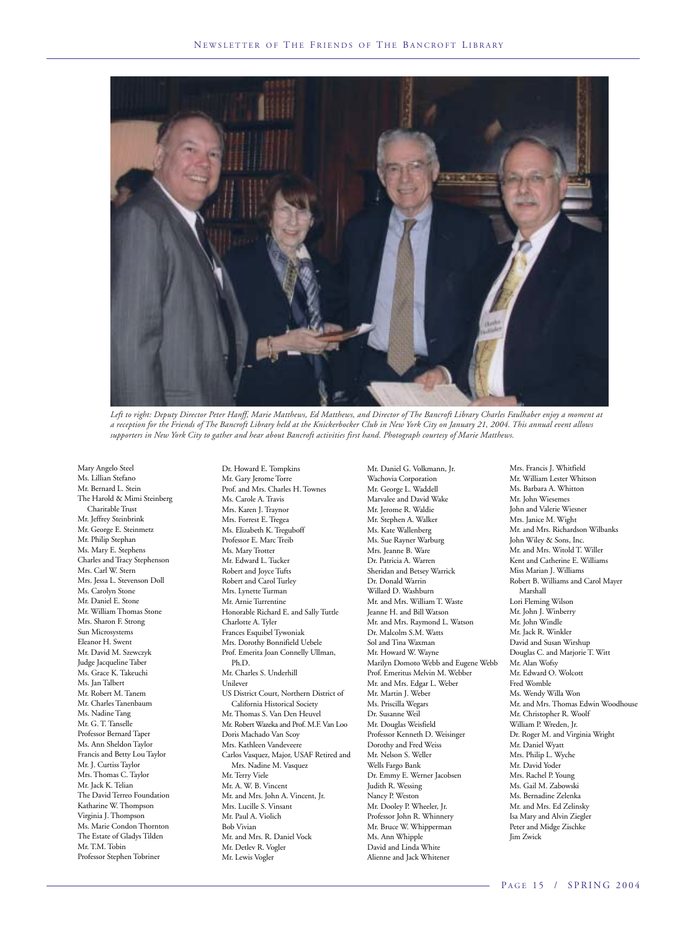

*Left to right: Deputy Director Peter Hanff, Marie Matthews, Ed Matthews, and Director of The Bancroft Library Charles Faulhaber enjoy a moment at a reception for the Friends of The Bancroft Library held at the Knickerbocker Club in New York City on January 21, 2004. This annual event allows supporters in New York City to gather and hear about Bancroft activities first hand. Photograph courtesy of Marie Matthews.*

Mary Angelo Steel Ms. Lillian Stefano Mr. Bernard L. Stein The Harold & Mimi Steinberg Charitable Trust Mr. Jeffrey Steinbrink Mr. George E. Steinmetz Mr. Philip Stephan Ms. Mary E. Stephens Charles and Tracy Stephenson Mrs. Carl W. Stern Mrs. Jessa L. Stevenson Doll Ms. Carolyn Stone Mr. Daniel E. Stone Mr. William Thomas Stone Mrs. Sharon F. Strong Sun Microsystems Eleanor H. Swent Mr. David M. Szewczyk Judge Jacqueline Taber Ms. Grace K. Takeuchi Ms. Jan Talbert Mr. Robert M. Tanem Mr. Charles Tanenbaum Ms. Nadine Tang Mr. G. T. Tanselle Professor Bernard Taper Ms. Ann Sheldon Taylor Francis and Betty Lou Taylor Mr. J. Curtiss Taylor Mrs. Thomas C. Taylor Mr. Jack K. Telian The David Terreo Foundation Katharine W. Thompson Virginia J. Thompson Ms. Marie Condon Thornton The Estate of Gladys Tilden Mr. T.M. Tobin Professor Stephen Tobriner

Dr. Howard E. Tompkins Mr. Gary Jerome Torre Prof. and Mrs. Charles H. Townes Ms. Carole A. Travis Mrs. Karen J. Traynor Mrs. Forrest E. Tregea Ms. Elizabeth K. Treguboff Professor E. Marc Treib Ms. Mary Trotter Mr. Edward L. Tucker Robert and Joyce Tufts Robert and Carol Turley Mrs. Lynette Turman Mr. Arnie Turrentine Honorable Richard E. and Sally Tuttle Charlotte A. Tyler Frances Esquibel Tywoniak Mrs. Dorothy Bonnifield Uebele Prof. Emerita Joan Connelly Ullman, Ph.D. Mr. Charles S. Underhill Unilever US District Court, Northern District of California Historical Society Mr. Thomas S. Van Den Heuvel Mr. Robert Wazeka and Prof. M.F. Van Loo Doris Machado Van Scoy Mrs. Kathleen Vandeveere Carlos Vasquez, Major, USAF Retired and Mrs. Nadine M. Vasquez Mr. Terry Viele Mr. A. W. B. Vincent Mr. and Mrs. John A. Vincent, Jr. Mrs. Lucille S. Vinsant Mr. Paul A. Violich Bob Vivian Mr. and Mrs. R. Daniel Vock Mr. Detlev R. Vogler Mr. Lewis Vogler

Mr. Daniel G. Volkmann, Jr. Wachovia Corporation Mr. George L. Waddell Marvalee and David Wake Mr. Jerome R. Waldie Mr. Stephen A. Walker Ms. Kate Wallenberg Ms. Sue Rayner Warburg Mrs. Jeanne B. Ware Dr. Patricia A. Warren Sheridan and Betsey Warrick Dr. Donald Warrin Willard D. Washburn Mr. and Mrs. William T. Waste Jeanne H. and Bill Watson Mr. and Mrs. Raymond L. Watson Dr. Malcolm S.M. Watts Sol and Tina Waxman Mr. Howard W. Wayne Marilyn Domoto Webb and Eugene Webb Prof. Emeritus Melvin M. Webber Mr. and Mrs. Edgar L. Weber Mr. Martin J. Weber Ms. Priscilla Wegars Dr. Susanne Weil Mr. Douglas Weisfield Professor Kenneth D. Weisinger Dorothy and Fred Weiss Mr. Nelson S. Weller Wells Fargo Bank Dr. Emmy E. Werner Jacobsen Judith R. Wessing Nancy P. Weston Mr. Dooley P. Wheeler, Jr. Professor John R. Whinnery Mr. Bruce W. Whipperman Ms. Ann Whipple David and Linda White Alienne and Jack Whitener

Mrs. Francis J. Whitfield Mr. William Lester Whitson Ms. Barbara A. Whitton Mr. John Wiesemes John and Valerie Wiesner Mrs. Janice M. Wight Mr. and Mrs. Richardson Wilbanks John Wiley & Sons, Inc. Mr. and Mrs. Witold T. Willer Kent and Catherine E. Williams Miss Marian J. Williams Robert B. Williams and Carol Mayer Marshall Lori Fleming Wilson Mr. John J. Winberry Mr. John Windle Mr. Jack R. Winkler David and Susan Wirshup Douglas C. and Marjorie T. Witt Mr. Alan Wofsy Mr. Edward O. Wolcott Fred Womble Ms. Wendy Willa Won Mr. and Mrs. Thomas Edwin Woodhouse Mr. Christopher R. Woolf William P. Wreden, Jr. Dr. Roger M. and Virginia Wright Mr. Daniel Wyatt Mrs. Philip L. Wyche Mr. David Yoder Mrs. Rachel P. Young Ms. Gail M. Zabowski Ms. Bernadine Zelenka Mr. and Mrs. Ed Zelinsky Isa Mary and Alvin Ziegler Peter and Midge Zischke Jim Zwick